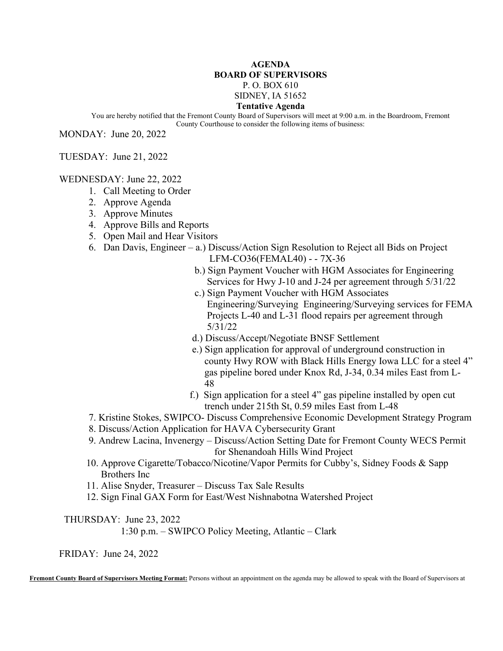## **AGENDA BOARD OF SUPERVISORS** P. O. BOX 610

SIDNEY, IA 51652

## **Tentative Agenda**

You are hereby notified that the Fremont County Board of Supervisors will meet at 9:00 a.m. in the Boardroom, Fremont County Courthouse to consider the following items of business:

MONDAY: June 20, 2022

TUESDAY: June 21, 2022

WEDNESDAY: June 22, 2022

- 1. Call Meeting to Order
- 2. Approve Agenda
- 3. Approve Minutes
- 4. Approve Bills and Reports
- 5. Open Mail and Hear Visitors
- 6. Dan Davis, Engineer a.) Discuss/Action Sign Resolution to Reject all Bids on Project LFM-CO36(FEMAL40) - - 7X-36
	- b.) Sign Payment Voucher with HGM Associates for Engineering Services for Hwy J-10 and J-24 per agreement through 5/31/22
	- c.) Sign Payment Voucher with HGM Associates Engineering/Surveying Engineering/Surveying services for FEMA Projects L-40 and L-31 flood repairs per agreement through 5/31/22
	- d.) Discuss/Accept/Negotiate BNSF Settlement
	- e.) Sign application for approval of underground construction in county Hwy ROW with Black Hills Energy Iowa LLC for a steel 4" gas pipeline bored under Knox Rd, J-34, 0.34 miles East from L- 48
		- f.) Sign application for a steel 4" gas pipeline installed by open cut trench under 215th St, 0.59 miles East from L-48
- 7. Kristine Stokes, SWIPCO- Discuss Comprehensive Economic Development Strategy Program
- 8. Discuss/Action Application for HAVA Cybersecurity Grant
- 9. Andrew Lacina, Invenergy Discuss/Action Setting Date for Fremont County WECS Permit for Shenandoah Hills Wind Project
- 10. Approve Cigarette/Tobacco/Nicotine/Vapor Permits for Cubby's, Sidney Foods & Sapp Brothers Inc
- 11. Alise Snyder, Treasurer Discuss Tax Sale Results
- 12. Sign Final GAX Form for East/West Nishnabotna Watershed Project

THURSDAY: June 23, 2022

1:30 p.m. – SWIPCO Policy Meeting, Atlantic – Clark

FRIDAY: June 24, 2022

**Fremont County Board of Supervisors Meeting Format:** Persons without an appointment on the agenda may be allowed to speak with the Board of Supervisors at